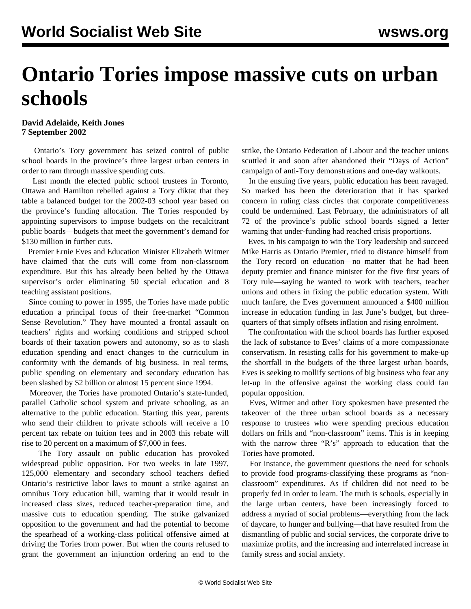## **Ontario Tories impose massive cuts on urban schools**

## **David Adelaide, Keith Jones 7 September 2002**

 Ontario's Tory government has seized control of public school boards in the province's three largest urban centers in order to ram through massive spending cuts.

 Last month the elected public school trustees in Toronto, Ottawa and Hamilton rebelled against a Tory diktat that they table a balanced budget for the 2002-03 school year based on the province's funding allocation. The Tories responded by appointing supervisors to impose budgets on the recalcitrant public boards—budgets that meet the government's demand for \$130 million in further cuts.

 Premier Ernie Eves and Education Minister Elizabeth Witmer have claimed that the cuts will come from non-classroom expenditure. But this has already been belied by the Ottawa supervisor's order eliminating 50 special education and 8 teaching assistant positions.

 Since coming to power in 1995, the Tories have made public education a principal focus of their free-market "Common Sense Revolution." They have mounted a frontal assault on teachers' rights and working conditions and stripped school boards of their taxation powers and autonomy, so as to slash education spending and enact changes to the curriculum in conformity with the demands of big business. In real terms, public spending on elementary and secondary education has been slashed by \$2 billion or almost 15 percent since 1994.

 Moreover, the Tories have promoted Ontario's state-funded, parallel Catholic school system and private schooling, as an alternative to the public education. Starting this year, parents who send their children to private schools will receive a 10 percent tax rebate on tuition fees and in 2003 this rebate will rise to 20 percent on a maximum of \$7,000 in fees.

 The Tory assault on public education has provoked widespread public opposition. For two weeks in late 1997, 125,000 elementary and secondary school teachers defied Ontario's restrictive labor laws to mount a strike against an omnibus Tory education bill, warning that it would result in increased class sizes, reduced teacher-preparation time, and massive cuts to education spending. The strike galvanized opposition to the government and had the potential to become the spearhead of a working-class political offensive aimed at driving the Tories from power. But when the courts refused to grant the government an injunction ordering an end to the strike, the Ontario Federation of Labour and the teacher unions scuttled it and soon after abandoned their "Days of Action" campaign of anti-Tory demonstrations and one-day walkouts.

 In the ensuing five years, public education has been ravaged. So marked has been the deterioration that it has sparked concern in ruling class circles that corporate competitiveness could be undermined. Last February, the administrators of all 72 of the province's public school boards signed a letter warning that under-funding had reached crisis proportions.

 Eves, in his campaign to win the Tory leadership and succeed Mike Harris as Ontario Premier, tried to distance himself from the Tory record on education—no matter that he had been deputy premier and finance minister for the five first years of Tory rule—saying he wanted to work with teachers, teacher unions and others in fixing the public education system. With much fanfare, the Eves government announced a \$400 million increase in education funding in last June's budget, but threequarters of that simply offsets inflation and rising enrolment.

 The confrontation with the school boards has further exposed the lack of substance to Eves' claims of a more compassionate conservatism. In resisting calls for his government to make-up the shortfall in the budgets of the three largest urban boards, Eves is seeking to mollify sections of big business who fear any let-up in the offensive against the working class could fan popular opposition.

 Eves, Witmer and other Tory spokesmen have presented the takeover of the three urban school boards as a necessary response to trustees who were spending precious education dollars on frills and "non-classroom" items. This is in keeping with the narrow three "R's" approach to education that the Tories have promoted.

 For instance, the government questions the need for schools to provide food programs-classifying these programs as "nonclassroom" expenditures. As if children did not need to be properly fed in order to learn. The truth is schools, especially in the large urban centers, have been increasingly forced to address a myriad of social problems—everything from the lack of daycare, to hunger and bullying—that have resulted from the dismantling of public and social services, the corporate drive to maximize profits, and the increasing and interrelated increase in family stress and social anxiety.